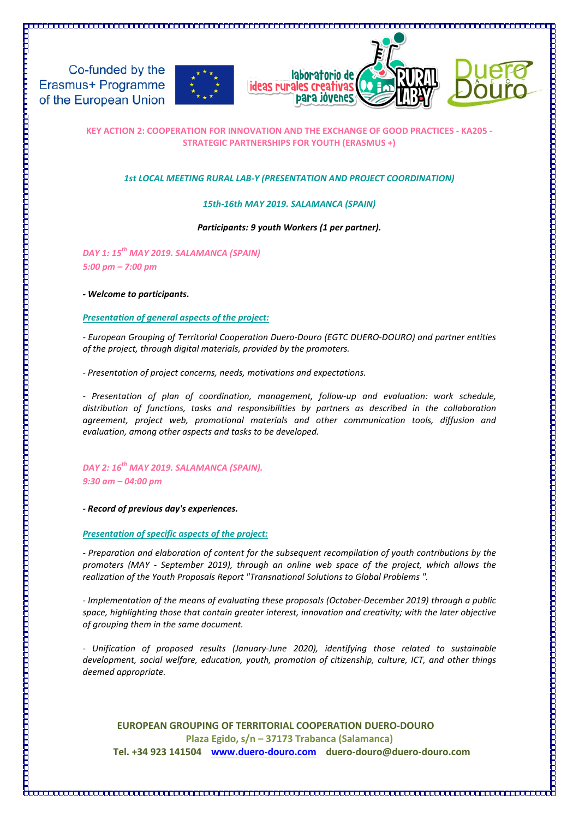





### **KEY ACTION 2: COOPERATION FOR INNOVATION AND THE EXCHANGE OF GOOD PRACTICES - KA205 - STRATEGIC PARTNERSHIPS FOR YOUTH (ERASMUS +)**

### *1st LOCAL MEETING RURAL LAB-Y (PRESENTATION AND PROJECT COORDINATION)*

### *15th-16th MAY 2019. SALAMANCA (SPAIN)*

### *Participants: 9 youth Workers (1 per partner).*

*DAY 1: 15th MAY 2019. SALAMANCA (SPAIN) 5:00 pm – 7:00 pm*

### *- Welcome to participants.*

### *Presentation of general aspects of the project:*

*- European Grouping of Territorial Cooperation Duero-Douro (EGTC DUERO-DOURO) and partner entities of the project, through digital materials, provided by the promoters.*

*- Presentation of project concerns, needs, motivations and expectations.*

*- Presentation of plan of coordination, management, follow-up and evaluation: work schedule, distribution of functions, tasks and responsibilities by partners as described in the collaboration agreement, project web, promotional materials and other communication tools, diffusion and evaluation, among other aspects and tasks to be developed.*

### *DAY 2: 16th MAY 2019. SALAMANCA (SPAIN). 9:30 am – 04:00 pm*

*- Record of previous day's experiences.*

### *Presentation of specific aspects of the project:*

*- Preparation and elaboration of content for the subsequent recompilation of youth contributions by the promoters (MAY - September 2019), through an online web space of the project, which allows the realization of the Youth Proposals Report "Transnational Solutions to Global Problems ".*

*- Implementation of the means of evaluating these proposals (October-December 2019) through a public space, highlighting those that contain greater interest, innovation and creativity; with the later objective of grouping them in the same document.*

*- Unification of proposed results (January-June 2020), identifying those related to sustainable development, social welfare, education, youth, promotion of citizenship, culture, ICT, and other things deemed appropriate.*

**EUROPEAN GROUPING OF TERRITORIAL COOPERATION DUERO-DOURO Plaza Egido, s/n – 37173 Trabanca (Salamanca) Tel. +34 923 141504 [www.duero-douro.com](http://www.duero-douro.com/) duero-douro@duero-douro.com**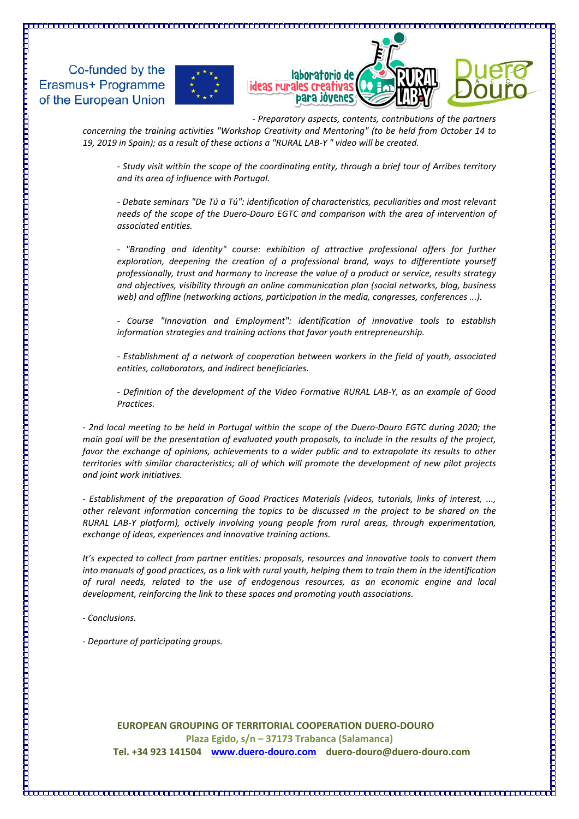





*- Preparatory aspects, contents, contributions of the partners concerning the training activities "Workshop Creativity and Mentoring" (to be held from October 14 to* 

*19, 2019 in Spain); as a result of these actions a "RURAL LAB-Y " video will be created.*

*- Study visit within the scope of the coordinating entity, through a brief tour of Arribes territory and its area of influence with Portugal.*

*- Debate seminars "De Tú a Tú": identification of characteristics, peculiarities and most relevant*  needs of the scope of the Duero-Douro EGTC and comparison with the area of intervention of *associated entities.*

*- "Branding and Identity" course: exhibition of attractive professional offers for further exploration, deepening the creation of a professional brand, ways to differentiate yourself professionally, trust and harmony to increase the value of a product or service, results strategy and objectives, visibility through an online communication plan (social networks, blog, business web) and offline (networking actions, participation in the media, congresses, conferences ...).*

*- Course "Innovation and Employment": identification of innovative tools to establish information strategies and training actions that favor youth entrepreneurship.*

*- Establishment of a network of cooperation between workers in the field of youth, associated entities, collaborators, and indirect beneficiaries.*

*- Definition of the development of the Video Formative RURAL LAB-Y, as an example of Good Practices.*

*- 2nd local meeting to be held in Portugal within the scope of the Duero-Douro EGTC during 2020; the main goal will be the presentation of evaluated youth proposals, to include in the results of the project,*  favor the exchange of opinions, achievements to a wider public and to extrapolate its results to other *territories with similar characteristics; all of which will promote the development of new pilot projects and joint work initiatives.*

*- Establishment of the preparation of Good Practices Materials (videos, tutorials, links of interest, ..., other relevant information concerning the topics to be discussed in the project to be shared on the RURAL LAB-Y platform), actively involving young people from rural areas, through experimentation, exchange of ideas, experiences and innovative training actions.*

*It's expected to collect from partner entities: proposals, resources and innovative tools to convert them into manuals of good practices, as a link with rural youth, helping them to train them in the identification of rural needs, related to the use of endogenous resources, as an economic engine and local development, reinforcing the link to these spaces and promoting youth associations.*

*- Conclusions.*

*- Departure of participating groups.*

**EUROPEAN GROUPING OF TERRITORIAL COOPERATION DUERO-DOURO Plaza Egido, s/n – 37173 Trabanca (Salamanca) Tel. +34 923 141504 [www.duero-douro.com](http://www.duero-douro.com/) duero-douro@duero-douro.com**